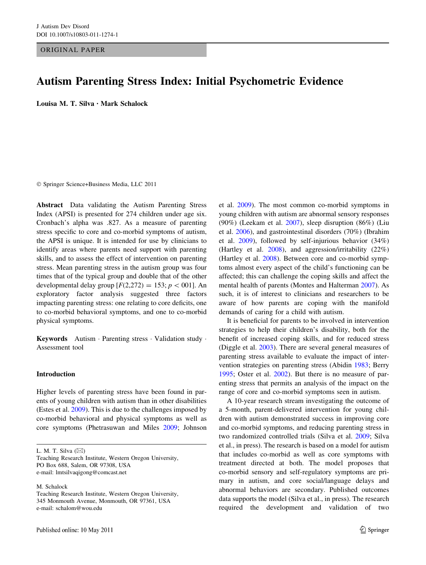ORIGINAL PAPER

# Autism Parenting Stress Index: Initial Psychometric Evidence

Louisa M. T. Silva • Mark Schalock

- Springer Science+Business Media, LLC 2011

Abstract Data validating the Autism Parenting Stress Index (APSI) is presented for 274 children under age six. Cronbach's alpha was .827. As a measure of parenting stress specific to core and co-morbid symptoms of autism, the APSI is unique. It is intended for use by clinicians to identify areas where parents need support with parenting skills, and to assess the effect of intervention on parenting stress. Mean parenting stress in the autism group was four times that of the typical group and double that of the other developmental delay group  $[F(2,272) = 153; p < 001]$ . An exploratory factor analysis suggested three factors impacting parenting stress: one relating to core deficits, one to co-morbid behavioral symptoms, and one to co-morbid physical symptoms.

Keywords Autism · Parenting stress · Validation study · Assessment tool

#### Introduction

Higher levels of parenting stress have been found in parents of young children with autism than in other disabilities (Estes et al. [2009](#page-7-0)). This is due to the challenges imposed by co-morbid behavioral and physical symptoms as well as core symptoms (Phetrasuwan and Miles [2009](#page-7-0); Johnson

L. M. T. Silva  $(\boxtimes)$ 

Teaching Research Institute, Western Oregon University, PO Box 688, Salem, OR 97308, USA e-mail: lmtsilvaqigong@comcast.net

M. Schalock

et al. [2009\)](#page-7-0). The most common co-morbid symptoms in young children with autism are abnormal sensory responses (90%) (Leekam et al. [2007](#page-7-0)), sleep disruption (86%) (Liu et al. [2006\)](#page-7-0), and gastrointestinal disorders (70%) (Ibrahim et al. [2009\)](#page-7-0), followed by self-injurious behavior (34%) (Hartley et al. [2008\)](#page-7-0), and aggression/irritability (22%) (Hartley et al. [2008](#page-7-0)). Between core and co-morbid symptoms almost every aspect of the child's functioning can be affected; this can challenge the coping skills and affect the mental health of parents (Montes and Halterman [2007\)](#page-7-0). As such, it is of interest to clinicians and researchers to be aware of how parents are coping with the manifold demands of caring for a child with autism.

It is beneficial for parents to be involved in intervention strategies to help their children's disability, both for the benefit of increased coping skills, and for reduced stress (Diggle et al. [2003](#page-7-0)). There are several general measures of parenting stress available to evaluate the impact of intervention strategies on parenting stress (Abidin [1983](#page-7-0); Berry [1995](#page-7-0); Oster et al. [2002\)](#page-7-0). But there is no measure of parenting stress that permits an analysis of the impact on the range of core and co-morbid symptoms seen in autism.

A 10-year research stream investigating the outcome of a 5-month, parent-delivered intervention for young children with autism demonstrated success in improving core and co-morbid symptoms, and reducing parenting stress in two randomized controlled trials (Silva et al. [2009;](#page-8-0) Silva et al., in press). The research is based on a model for autism that includes co-morbid as well as core symptoms with treatment directed at both. The model proposes that co-morbid sensory and self-regulatory symptoms are primary in autism, and core social/language delays and abnormal behaviors are secondary. Published outcomes data supports the model (Silva et al., in press). The research required the development and validation of two

Teaching Research Institute, Western Oregon University, 345 Monmouth Avenue, Monmouth, OR 97361, USA e-mail: schalom@wou.edu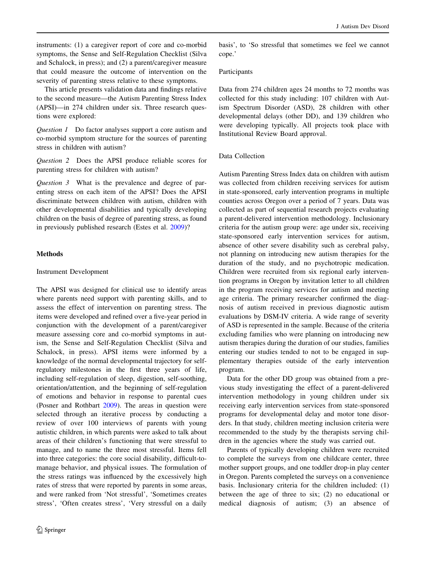instruments: (1) a caregiver report of core and co-morbid symptoms, the Sense and Self-Regulation Checklist (Silva and Schalock, in press); and (2) a parent/caregiver measure that could measure the outcome of intervention on the severity of parenting stress relative to these symptoms.

This article presents validation data and findings relative to the second measure—the Autism Parenting Stress Index (APSI)—in 274 children under six. Three research questions were explored:

*Question 1* Do factor analyses support a core autism and co-morbid symptom structure for the sources of parenting stress in children with autism?

Question 2 Does the APSI produce reliable scores for parenting stress for children with autism?

Question 3 What is the prevalence and degree of parenting stress on each item of the APSI? Does the APSI discriminate between children with autism, children with other developmental disabilities and typically developing children on the basis of degree of parenting stress, as found in previously published research (Estes et al. [2009](#page-7-0))?

# Methods

# Instrument Development

The APSI was designed for clinical use to identify areas where parents need support with parenting skills, and to assess the effect of intervention on parenting stress. The items were developed and refined over a five-year period in conjunction with the development of a parent/caregiver measure assessing core and co-morbid symptoms in autism, the Sense and Self-Regulation Checklist (Silva and Schalock, in press). APSI items were informed by a knowledge of the normal developmental trajectory for selfregulatory milestones in the first three years of life, including self-regulation of sleep, digestion, self-soothing, orientation/attention, and the beginning of self-regulation of emotions and behavior in response to parental cues (Posner and Rothbart [2009](#page-8-0)). The areas in question were selected through an iterative process by conducting a review of over 100 interviews of parents with young autistic children, in which parents were asked to talk about areas of their children's functioning that were stressful to manage, and to name the three most stressful. Items fell into three categories: the core social disability, difficult-tomanage behavior, and physical issues. The formulation of the stress ratings was influenced by the excessively high rates of stress that were reported by parents in some areas, and were ranked from 'Not stressful', 'Sometimes creates stress', 'Often creates stress', 'Very stressful on a daily basis', to 'So stressful that sometimes we feel we cannot cope.'

#### Participants

Data from 274 children ages 24 months to 72 months was collected for this study including: 107 children with Autism Spectrum Disorder (ASD), 28 children with other developmental delays (other DD), and 139 children who were developing typically. All projects took place with Institutional Review Board approval.

# Data Collection

Autism Parenting Stress Index data on children with autism was collected from children receiving services for autism in state-sponsored, early intervention programs in multiple counties across Oregon over a period of 7 years. Data was collected as part of sequential research projects evaluating a parent-delivered intervention methodology. Inclusionary criteria for the autism group were: age under six, receiving state-sponsored early intervention services for autism, absence of other severe disability such as cerebral palsy, not planning on introducing new autism therapies for the duration of the study, and no psychotropic medication. Children were recruited from six regional early intervention programs in Oregon by invitation letter to all children in the program receiving services for autism and meeting age criteria. The primary researcher confirmed the diagnosis of autism received in previous diagnostic autism evaluations by DSM-IV criteria. A wide range of severity of ASD is represented in the sample. Because of the criteria excluding families who were planning on introducing new autism therapies during the duration of our studies, families entering our studies tended to not to be engaged in supplementary therapies outside of the early intervention program.

Data for the other DD group was obtained from a previous study investigating the effect of a parent-delivered intervention methodology in young children under six receiving early intervention services from state-sponsored programs for developmental delay and motor tone disorders. In that study, children meeting inclusion criteria were recommended to the study by the therapists serving children in the agencies where the study was carried out.

Parents of typically developing children were recruited to complete the surveys from one childcare center, three mother support groups, and one toddler drop-in play center in Oregon. Parents completed the surveys on a convenience basis. Inclusionary criteria for the children included: (1) between the age of three to six; (2) no educational or medical diagnosis of autism; (3) an absence of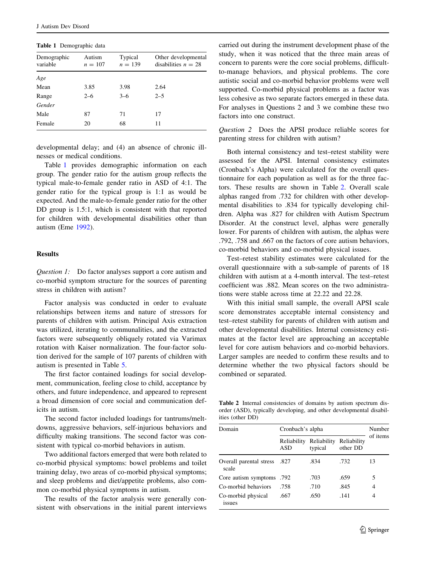|  | Table 1 Demographic data |  |
|--|--------------------------|--|
|--|--------------------------|--|

| Demographic<br>variable | Autism<br>$n = 107$ | Typical<br>$n = 139$ | Other developmental<br>disabilities $n = 28$ |  |  |
|-------------------------|---------------------|----------------------|----------------------------------------------|--|--|
| Age                     |                     |                      |                                              |  |  |
| Mean                    | 3.85                | 3.98                 | 2.64                                         |  |  |
| Range                   | $2 - 6$             | $3-6$                | $2 - 5$                                      |  |  |
| Gender                  |                     |                      |                                              |  |  |
| Male                    | 87                  | 71                   | 17                                           |  |  |
| Female                  | 20                  | 68                   | 11                                           |  |  |

developmental delay; and (4) an absence of chronic illnesses or medical conditions.

Table 1 provides demographic information on each group. The gender ratio for the autism group reflects the typical male-to-female gender ratio in ASD of 4:1. The gender ratio for the typical group is 1:1 as would be expected. And the male-to-female gender ratio for the other DD group is 1.5:1, which is consistent with that reported for children with developmental disabilities other than autism (Eme [1992](#page-7-0)).

#### **Results**

Question 1: Do factor analyses support a core autism and co-morbid symptom structure for the sources of parenting stress in children with autism?

Factor analysis was conducted in order to evaluate relationships between items and nature of stressors for parents of children with autism. Principal Axis extraction was utilized, iterating to communalities, and the extracted factors were subsequently obliquely rotated via Varimax rotation with Kaiser normalization. The four-factor solution derived for the sample of 107 parents of children with autism is presented in Table [5](#page-7-0).

The first factor contained loadings for social development, communication, feeling close to child, acceptance by others, and future independence, and appeared to represent a broad dimension of core social and communication deficits in autism.

The second factor included loadings for tantrums/meltdowns, aggressive behaviors, self-injurious behaviors and difficulty making transitions. The second factor was consistent with typical co-morbid behaviors in autism.

Two additional factors emerged that were both related to co-morbid physical symptoms: bowel problems and toilet training delay, two areas of co-morbid physical symptoms; and sleep problems and diet/appetite problems, also common co-morbid physical symptoms in autism.

The results of the factor analysis were generally consistent with observations in the initial parent interviews

carried out during the instrument development phase of the study, when it was noticed that the three main areas of concern to parents were the core social problems, difficultto-manage behaviors, and physical problems. The core autistic social and co-morbid behavior problems were well supported. Co-morbid physical problems as a factor was less cohesive as two separate factors emerged in these data. For analyses in Questions 2 and 3 we combine these two factors into one construct.

Question 2 Does the APSI produce reliable scores for parenting stress for children with autism?

Both internal consistency and test–retest stability were assessed for the APSI. Internal consistency estimates (Cronbach's Alpha) were calculated for the overall questionnaire for each population as well as for the three factors. These results are shown in Table 2. Overall scale alphas ranged from .732 for children with other developmental disabilities to .834 for typically developing children. Alpha was .827 for children with Autism Spectrum Disorder. At the construct level, alphas were generally lower. For parents of children with autism, the alphas were .792, .758 and .667 on the factors of core autism behaviors, co-morbid behaviors and co-morbid physical issues.

Test–retest stability estimates were calculated for the overall questionnaire with a sub-sample of parents of 18 children with autism at a 4-month interval. The test–retest coefficient was .882. Mean scores on the two administrations were stable across time at 22.22 and 22.28.

With this initial small sample, the overall APSI scale score demonstrates acceptable internal consistency and test–retest stability for parents of children with autism and other developmental disabilities. Internal consistency estimates at the factor level are approaching an acceptable level for core autism behaviors and co-morbid behaviors. Larger samples are needed to confirm these results and to determine whether the two physical factors should be combined or separated.

Table 2 Internal consistencies of domains by autism spectrum disorder (ASD), typically developing, and other developmental disabilities (other DD)

| Domain                           | Cronbach's alpha   | Number                 |                         |          |
|----------------------------------|--------------------|------------------------|-------------------------|----------|
|                                  | Reliability<br>ASD | Reliability<br>typical | Reliability<br>other DD | of items |
| Overall parental stress<br>scale | .827               | .834                   | .732                    | 13       |
| Core autism symptoms             | .792               | .703                   | .659                    | 5        |
| Co-morbid behaviors              | .758               | .710                   | .845                    | 4        |
| Co-morbid physical<br>issues     | .667               | .650                   | .141                    | 4        |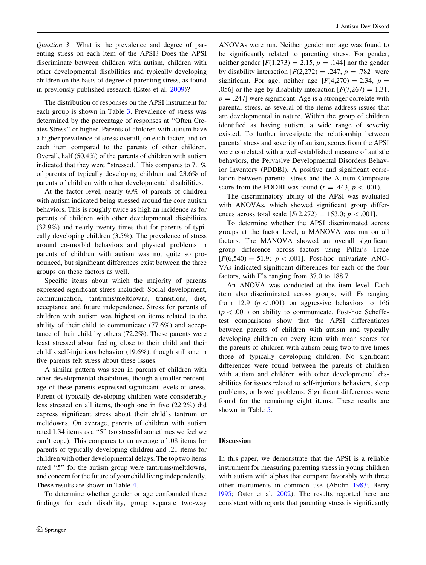Question 3 What is the prevalence and degree of parenting stress on each item of the APSI? Does the APSI discriminate between children with autism, children with other developmental disabilities and typically developing children on the basis of degree of parenting stress, as found in previously published research (Estes et al. [2009](#page-7-0))?

The distribution of responses on the APSI instrument for each group is shown in Table [3](#page-4-0). Prevalence of stress was determined by the percentage of responses at ''Often Creates Stress'' or higher. Parents of children with autism have a higher prevalence of stress overall, on each factor, and on each item compared to the parents of other children. Overall, half (50.4%) of the parents of children with autism indicated that they were ''stressed.'' This compares to 7.1% of parents of typically developing children and 23.6% of parents of children with other developmental disabilities.

At the factor level, nearly 60% of parents of children with autism indicated being stressed around the core autism behaviors. This is roughly twice as high an incidence as for parents of children with other developmental disabilities (32.9%) and nearly twenty times that for parents of typically developing children (3.5%). The prevalence of stress around co-morbid behaviors and physical problems in parents of children with autism was not quite so pronounced, but significant differences exist between the three groups on these factors as well.

Specific items about which the majority of parents expressed significant stress included: Social development, communication, tantrums/meltdowns, transitions, diet, acceptance and future independence. Stress for parents of children with autism was highest on items related to the ability of their child to communicate (77.6%) and acceptance of their child by others (72.2%). These parents were least stressed about feeling close to their child and their child's self-injurious behavior (19.6%), though still one in five parents felt stress about these issues.

A similar pattern was seen in parents of children with other developmental disabilities, though a smaller percentage of these parents expressed significant levels of stress. Parent of typically developing children were considerably less stressed on all items, though one in five (22.2%) did express significant stress about their child's tantrum or meltdowns. On average, parents of children with autism rated 1.34 items as a "5" (so stressful sometimes we feel we can't cope). This compares to an average of .08 items for parents of typically developing children and .21 items for children with other developmental delays. The top two items rated "5" for the autism group were tantrums/meltdowns, and concern for the future of your child living independently. These results are shown in Table [4.](#page-6-0)

To determine whether gender or age confounded these findings for each disability, group separate two-way

ANOVAs were run. Neither gender nor age was found to be significantly related to parenting stress. For gender, neither gender  $[F(1,273) = 2.15, p = .144]$  nor the gender by disability interaction  $[F(2,272) = .247, p = .782]$  were significant. For age, neither age  $[F(4,270) = 2.34, p =$ .056] or the age by disability interaction  $[F(7,267) = 1.31]$ ,  $p = .247$ ] were significant. Age is a stronger correlate with parental stress, as several of the items address issues that are developmental in nature. Within the group of children identified as having autism, a wide range of severity existed. To further investigate the relationship between parental stress and severity of autism, scores from the APSI were correlated with a well-established measure of autistic behaviors, the Pervasive Developmental Disorders Behavior Inventory (PDDBI). A positive and significant correlation between parental stress and the Autism Composite score from the PDDBI was found ( $r = .443$ ,  $p < .001$ ).

The discriminatory ability of the APSI was evaluated with ANOVAs, which showed significant group differences across total scale  $[F(2,272) = 153.0; p < .001]$ .

To determine whether the APSI discriminated across groups at the factor level, a MANOVA was run on all factors. The MANOVA showed an overall significant group difference across factors using Pillai's Trace  $[F(6,540) = 51.9; p < .001]$ . Post-hoc univariate ANO-VAs indicated significant differences for each of the four factors, with F's ranging from 37.0 to 188.7.

An ANOVA was conducted at the item level. Each item also discriminated across groups, with Fs ranging from 12.9 ( $p < .001$ ) on aggressive behaviors to 166  $(p\lt .001)$  on ability to communicate. Post-hoc Scheffetest comparisons show that the APSI differentiates between parents of children with autism and typically developing children on every item with mean scores for the parents of children with autism being two to five times those of typically developing children. No significant differences were found between the parents of children with autism and children with other developmental disabilities for issues related to self-injurious behaviors, sleep problems, or bowel problems. Significant differences were found for the remaining eight items. These results are shown in Table [5.](#page-7-0)

# Discussion

In this paper, we demonstrate that the APSI is a reliable instrument for measuring parenting stress in young children with autism with alphas that compare favorably with three other instruments in common use (Abidin [1983](#page-7-0); Berry [l995;](#page-7-0) Oster et al. [2002\)](#page-7-0). The results reported here are consistent with reports that parenting stress is significantly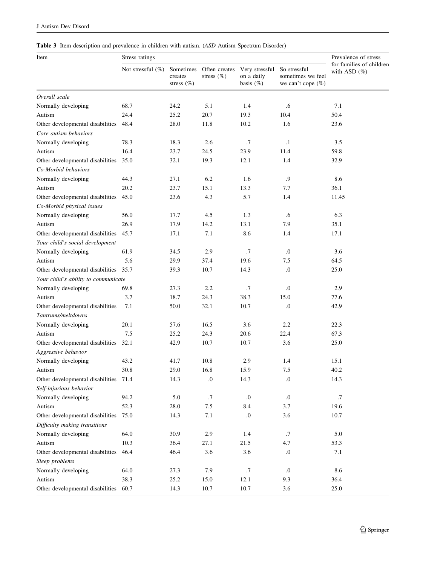<span id="page-4-0"></span>Table 3 Item description and prevalence in children with autism. (ASD Autism Spectrum Disorder)

| Item                                  | Stress ratings        |                                        |                                 |                                                           |                                        | Prevalence of stress                         |  |
|---------------------------------------|-----------------------|----------------------------------------|---------------------------------|-----------------------------------------------------------|----------------------------------------|----------------------------------------------|--|
|                                       | Not stressful $(\% )$ | Sometimes<br>creates<br>stress $(\% )$ | Often creates<br>stress $(\% )$ | Very stressful So stressful<br>on a daily<br>basis $(\%)$ | sometimes we feel<br>we can't cope (%) | for families of children<br>with ASD $(\% )$ |  |
| Overall scale                         |                       |                                        |                                 |                                                           |                                        |                                              |  |
| Normally developing                   | 68.7                  | 24.2                                   | 5.1                             | 1.4                                                       | .6                                     | 7.1                                          |  |
| Autism                                | 24.4                  | 25.2                                   | 20.7                            | 19.3                                                      | 10.4                                   | 50.4                                         |  |
| Other developmental disabilities      | 48.4                  | 28.0                                   | 11.8                            | 10.2                                                      | 1.6                                    | 23.6                                         |  |
| Core autism behaviors                 |                       |                                        |                                 |                                                           |                                        |                                              |  |
| Normally developing                   | 78.3                  | 18.3                                   | 2.6                             | $.7\,$                                                    | $\cdot$                                | 3.5                                          |  |
| Autism                                | 16.4                  | 23.7                                   | 24.5                            | 23.9                                                      | 11.4                                   | 59.8                                         |  |
| Other developmental disabilities      | 35.0                  | 32.1                                   | 19.3                            | 12.1                                                      | 1.4                                    | 32.9                                         |  |
| Co-Morbid behaviors                   |                       |                                        |                                 |                                                           |                                        |                                              |  |
| Normally developing                   | 44.3                  | 27.1                                   | 6.2                             | 1.6                                                       | .9                                     | 8.6                                          |  |
| Autism                                | 20.2                  | 23.7                                   | 15.1                            | 13.3                                                      | 7.7                                    | 36.1                                         |  |
| Other developmental disabilities      | 45.0                  | 23.6                                   | 4.3                             | 5.7                                                       | 1.4                                    | 11.45                                        |  |
| Co-Morbid physical issues             |                       |                                        |                                 |                                                           |                                        |                                              |  |
| Normally developing                   | 56.0                  | 17.7                                   | 4.5                             | 1.3                                                       | .6                                     | 6.3                                          |  |
| Autism                                | 26.9                  | 17.9                                   | 14.2                            | 13.1                                                      | 7.9                                    | 35.1                                         |  |
| Other developmental disabilities      | 45.7                  | 17.1                                   | 7.1                             | 8.6                                                       | 1.4                                    | 17.1                                         |  |
| Your child's social development       |                       |                                        |                                 |                                                           |                                        |                                              |  |
| Normally developing                   | 61.9                  | 34.5                                   | 2.9                             | .7                                                        | $\cdot$                                | 3.6                                          |  |
| Autism                                | 5.6                   | 29.9                                   | 37.4                            | 19.6                                                      | 7.5                                    | 64.5                                         |  |
| Other developmental disabilities 35.7 |                       | 39.3                                   | 10.7                            | 14.3                                                      | $\cdot$                                | 25.0                                         |  |
| Your child's ability to communicate   |                       |                                        |                                 |                                                           |                                        |                                              |  |
| Normally developing                   | 69.8                  | 27.3                                   | 2.2                             | .7                                                        | $\cdot$                                | 2.9                                          |  |
| Autism                                | 3.7                   | 18.7                                   | 24.3                            | 38.3                                                      | 15.0                                   | 77.6                                         |  |
| Other developmental disabilities      | 7.1                   | 50.0                                   | 32.1                            | 10.7                                                      | $\cdot$                                | 42.9                                         |  |
| Tantrums/meltdowns                    |                       |                                        |                                 |                                                           |                                        |                                              |  |
| Normally developing                   | 20.1                  | 57.6                                   | 16.5                            | 3.6                                                       | 2.2                                    | 22.3                                         |  |
| Autism                                | 7.5                   | 25.2                                   | 24.3                            | 20.6                                                      | 22.4                                   | 67.3                                         |  |
| Other developmental disabilities      | 32.1                  | 42.9                                   | 10.7                            | 10.7                                                      | 3.6                                    | 25.0                                         |  |
| Aggressive behavior                   |                       |                                        |                                 |                                                           |                                        |                                              |  |
| Normally developing                   | 43.2                  | 41.7                                   | 10.8                            | 2.9                                                       | 1.4                                    | 15.1                                         |  |
| Autism                                | 30.8                  | 29.0                                   | 16.8                            | 15.9                                                      | $7.5\,$                                | 40.2                                         |  |
| Other developmental disabilities 71.4 |                       | 14.3                                   | $\cdot$                         | 14.3                                                      | $\cdot$                                | 14.3                                         |  |
| Self-injurious behavior               |                       |                                        |                                 |                                                           |                                        |                                              |  |
| Normally developing                   | 94.2                  | $5.0\,$                                | $.7\,$                          | .0                                                        | $\boldsymbol{0}$                       | .7                                           |  |
| Autism                                | 52.3                  | 28.0                                   | 7.5                             | 8.4                                                       | 3.7                                    | 19.6                                         |  |
| Other developmental disabilities      | 75.0                  | 14.3                                   | 7.1                             | $.0\,$                                                    | 3.6                                    | 10.7                                         |  |
| Difficulty making transitions         |                       |                                        |                                 |                                                           |                                        |                                              |  |
| Normally developing                   | 64.0                  | 30.9                                   | 2.9                             | 1.4                                                       | .7                                     | 5.0                                          |  |
| Autism                                | 10.3                  | 36.4                                   | 27.1                            | 21.5                                                      | 4.7                                    | 53.3                                         |  |
| Other developmental disabilities      | 46.4                  | 46.4                                   | 3.6                             | 3.6                                                       | $.0\,$                                 | 7.1                                          |  |
| Sleep problems                        |                       |                                        |                                 |                                                           |                                        |                                              |  |
| Normally developing                   | 64.0                  | 27.3                                   | 7.9                             | .7                                                        | $\boldsymbol{0}$                       | 8.6                                          |  |
| Autism                                | 38.3                  | 25.2                                   | 15.0                            | 12.1                                                      | 9.3                                    | 36.4                                         |  |
| Other developmental disabilities 60.7 |                       | 14.3                                   | 10.7                            | 10.7                                                      | 3.6                                    | 25.0                                         |  |
|                                       |                       |                                        |                                 |                                                           |                                        |                                              |  |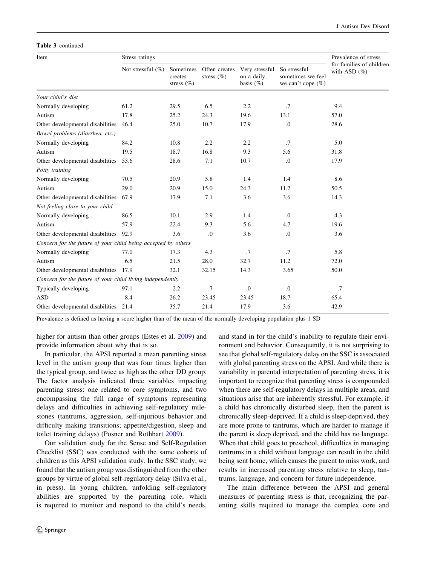#### Table 3 continued

| Item                                                          | Stress ratings       |                                    |                                 |                                              |                                                           | Prevalence of stress                        |  |
|---------------------------------------------------------------|----------------------|------------------------------------|---------------------------------|----------------------------------------------|-----------------------------------------------------------|---------------------------------------------|--|
|                                                               | Not stressful $(\%)$ | Sometimes<br>creates<br>stress (%) | Often creates<br>stress $(\% )$ | Very stressful<br>on a daily<br>basis $(\%)$ | So stressful<br>sometimes we feel<br>we can't cope $(\%)$ | for families of children<br>with ASD $(\%)$ |  |
| Your child's diet                                             |                      |                                    |                                 |                                              |                                                           |                                             |  |
| Normally developing                                           | 61.2                 | 29.5                               | 6.5                             | 2.2                                          | .7                                                        | 9.4                                         |  |
| Autism                                                        | 17.8                 | 25.2                               | 24.3                            | 19.6                                         | 13.1                                                      | 57.0                                        |  |
| Other developmental disabilities                              | 46.4                 | 25.0                               | 10.7                            | 17.9                                         | $\cdot$                                                   | 28.6                                        |  |
| Bowel problems (diarrhea, etc.)                               |                      |                                    |                                 |                                              |                                                           |                                             |  |
| Normally developing                                           | 84.2                 | 10.8                               | 2.2                             | 2.2                                          | .7                                                        | 5.0                                         |  |
| Autism                                                        | 19.5                 | 18.7                               | 16.8                            | 9.3                                          | 5.6                                                       | 31.8                                        |  |
| Other developmental disabilities 53.6                         |                      | 28.6                               | 7.1                             | 10.7                                         | $\cdot$                                                   | 17.9                                        |  |
| Potty training                                                |                      |                                    |                                 |                                              |                                                           |                                             |  |
| Normally developing                                           | 70.5                 | 20.9                               | 5.8                             | 1.4                                          | 1.4                                                       | 8.6                                         |  |
| Autism                                                        | 29.0                 | 20.9                               | 15.0                            | 24.3                                         | 11.2                                                      | 50.5                                        |  |
| Other developmental disabilities                              | 67.9                 | 17.9                               | 7.1                             | 3.6                                          | 3.6                                                       | 14.3                                        |  |
| Not feeling close to your child                               |                      |                                    |                                 |                                              |                                                           |                                             |  |
| Normally developing                                           | 86.5                 | 10.1                               | 2.9                             | 1.4                                          | $\cdot$                                                   | 4.3                                         |  |
| Autism                                                        | 57.9                 | 22.4                               | 9.3                             | 5.6                                          | 4.7                                                       | 19.6                                        |  |
| Other developmental disabilities 92.9                         |                      | 3.6                                | $\cdot$                         | 3.6                                          | $\cdot$                                                   | 3.6                                         |  |
| Concern for the future of your child being accepted by others |                      |                                    |                                 |                                              |                                                           |                                             |  |
| Normally developing                                           | 77.0                 | 17.3                               | 4.3                             | .7                                           | .7                                                        | 5.8                                         |  |
| Autism                                                        | 6.5                  | 21.5                               | 28.0                            | 32.7                                         | 11.2                                                      | 72.0                                        |  |
| Other developmental disabilities 17.9                         |                      | 32.1                               | 32.15                           | 14.3                                         | 3.65                                                      | 50.0                                        |  |
| Concern for the future of your child living independently     |                      |                                    |                                 |                                              |                                                           |                                             |  |
| Typically developing                                          | 97.1                 | 2.2                                | $\cdot$ .7                      | $\boldsymbol{0}$                             | $\cdot$                                                   | .7                                          |  |
| <b>ASD</b>                                                    | 8.4                  | 26.2                               | 23.45                           | 23.45                                        | 18.7                                                      | 65.4                                        |  |
| Other developmental disabilities 21.4                         |                      | 35.7                               | 21.4                            | 17.9                                         | 3.6                                                       | 42.9                                        |  |

Prevalence is defined as having a score higher than of the mean of the normally developing population plus 1 SD

higher for autism than other groups (Estes et al. [2009](#page-7-0)) and provide information about why that is so.

In particular, the APSI reported a mean parenting stress level in the autism group that was four times higher than the typical group, and twice as high as the other DD group. The factor analysis indicated three variables impacting parenting stress: one related to core symptoms, and two encompassing the full range of symptoms representing delays and difficulties in achieving self-regulatory milestones (tantrums, aggression, self-injurious behavior and difficulty making transitions; appetite/digestion, sleep and toilet training delays) (Posner and Rothbart [2009\)](#page-8-0).

Our validation study for the Sense and Self-Regulation Checklist (SSC) was conducted with the same cohorts of children as this APSI validation study. In the SSC study, we found that the autism group was distinguished from the other groups by virtue of global self-regulatory delay (Silva et al., in press). In young children, unfolding self-regulatory abilities are supported by the parenting role, which is required to monitor and respond to the child's needs,

and stand in for the child's inability to regulate their environment and behavior. Consequently, it is not surprising to see that global self-regulatory delay on the SSC is associated with global parenting stress on the APSI. And while there is variability in parental interpretation of parenting stress, it is important to recognize that parenting stress is compounded when there are self-regulatory delays in multiple areas, and situations arise that are inherently stressful. For example, if a child has chronically disturbed sleep, then the parent is chronically sleep-deprived. If a child is sleep deprived, they are more prone to tantrums, which are harder to manage if the parent is sleep deprived, and the child has no language. When that child goes to preschool, difficulties in managing tantrums in a child without language can result in the child being sent home, which causes the parent to miss work, and results in increased parenting stress relative to sleep, tantrums, language, and concern for future independence.

The main difference between the APSI and general measures of parenting stress is that, recognizing the parenting skills required to manage the complex core and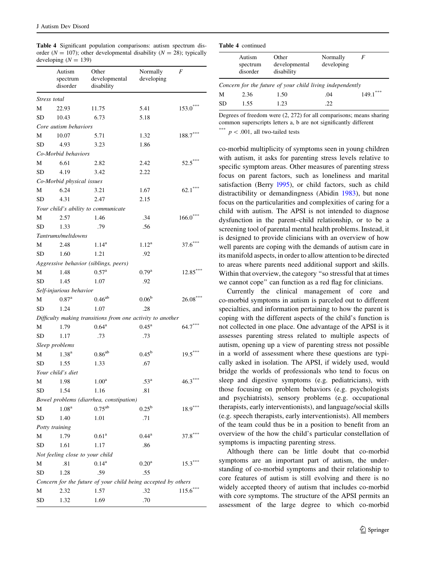<span id="page-6-0"></span>Table 4 Significant population comparisons: autism spectrum disorder ( $N = 107$ ); other developmental disability ( $N = 28$ ); typically developing  $(N = 139)$ 

|                | Autism<br>spectrum<br>disorder  | Other<br>developmental<br>disability                                  | Normally<br>developing   | F          |
|----------------|---------------------------------|-----------------------------------------------------------------------|--------------------------|------------|
| Stress total   |                                 |                                                                       |                          |            |
| М              | 22.93                           | 11.75                                                                 | 5.41                     | 153.0      |
| <b>SD</b>      | 10.43                           | 6.73                                                                  | 5.18                     |            |
|                | Core autism behaviors           |                                                                       |                          |            |
| М              | 10.07                           | 5.71                                                                  | 1.32                     | $188.7***$ |
| <b>SD</b>      | 4.93                            | 3.23                                                                  | 1.86                     |            |
|                | Co-Morbid behaviors             |                                                                       |                          |            |
| М              | 6.61                            | 2.82                                                                  | 2.42                     | $52.5***$  |
| <b>SD</b>      | 4.19                            | 3.42                                                                  | 2.22                     |            |
|                | Co-Morbid physical issues       |                                                                       |                          |            |
| М              | 6.24                            | 3.21                                                                  | 1.67                     | $62.1***$  |
| <b>SD</b>      | 4.31                            | 2.47                                                                  | 2.15                     |            |
|                |                                 | Your child's ability to communicate                                   |                          |            |
| М              | 2.57                            | 1.46                                                                  | .34                      | $166.0***$ |
| <b>SD</b>      | 1.33                            | .79                                                                   | .56                      |            |
|                | Tantrums/meltdowns              |                                                                       |                          |            |
| М              | 2.48                            | $1.14^a$                                                              | $1.12^{\rm a}$           | $37.6***$  |
| <b>SD</b>      | 1.60                            | 1.21                                                                  | .92                      |            |
|                |                                 | Aggressive behavior (siblings, peers)                                 |                          |            |
| M              | 1.48                            | $0.57^{\rm a}$                                                        | $0.79^{a}$               | $12.85***$ |
| <b>SD</b>      | 1.45                            | 1.07                                                                  | .92                      |            |
|                | Self-injurious behavior         |                                                                       |                          |            |
| М              | 0.87 <sup>a</sup>               | $0.46^{ab}$                                                           | 0.06 <sup>b</sup>        | $26.08***$ |
| <b>SD</b>      | 1.24                            | 1.07                                                                  | .28                      |            |
|                |                                 | Difficulty making transitions from one activity to another            |                          |            |
| М              | 1.79                            | $0.64^{\rm a}$                                                        | $0.45^{\rm a}$           | $64.7***$  |
| SD             | 1.17                            | .73                                                                   | .73                      |            |
|                | Sleep problems                  |                                                                       |                          |            |
| М              | 1.38 <sup>a</sup>               | $0.86^{ab}$                                                           | $0.45^{\rm b}$           | $19.5***$  |
| <b>SD</b>      | 1.55                            | 1.33                                                                  | .67                      |            |
|                | Your child's diet               |                                                                       |                          |            |
| М              | 1.98                            | 1.00 <sup>a</sup>                                                     | .53 <sup>a</sup>         | $46.3***$  |
| SD             | 1.54                            | 1.16                                                                  | .81                      |            |
|                |                                 | Bowel problems (diarrhea, constipation)                               |                          |            |
| М              | 1.08 <sup>a</sup>               | $0.75^{ab}$                                                           | $0.25^{\rm b}$           | $18.9***$  |
| SD             | 1.40                            | 1.01                                                                  | .71                      |            |
| Potty training |                                 |                                                                       |                          | $37.8***$  |
| М              | 1.79                            | 0.61 <sup>a</sup>                                                     | $0.44^{\rm a}$           |            |
| <b>SD</b>      | 1.61                            | 1.17                                                                  | .86                      |            |
|                | Not feeling close to your child | $0.14^a$                                                              |                          | $15.3***$  |
| М              | .81<br>1.28                     |                                                                       | 0.20 <sup>a</sup><br>.55 |            |
| SD             |                                 | .59                                                                   |                          |            |
| М              | 2.32                            | Concern for the future of your child being accepted by others<br>1.57 | .32                      | $115.6***$ |
|                |                                 |                                                                       |                          |            |
| <b>SD</b>      | 1.32                            | 1.69                                                                  | .70                      |            |

|  | <b>Table 4</b> continued |
|--|--------------------------|
|--|--------------------------|

|    | Autism<br>spectrum<br>disorder | Other<br>developmental<br>disability                      | Normally<br>developing | F            |
|----|--------------------------------|-----------------------------------------------------------|------------------------|--------------|
|    |                                | Concern for the future of your child living independently |                        |              |
| М  | 2.36                           | 1.50                                                      | .04                    | ***<br>149.1 |
| SD | 1.55                           | 1.23                                                      | 22.                    |              |

Degrees of freedom were (2, 272) for all comparisons; means sharing common superscripts letters a, b are not significantly different \*\*\*  $p < .001$ , all two-tailed tests

co-morbid multiplicity of symptoms seen in young children with autism, it asks for parenting stress levels relative to specific symptom areas. Other measures of parenting stress focus on parent factors, such as loneliness and marital satisfaction (Berry 1995), or child factors, such as child distractibility or demandingness (Abidin [1983\)](#page-7-0), but none focus on the particularities and complexities of caring for a child with autism. The APSI is not intended to diagnose dysfunction in the parent–child relationship, or to be a screening tool of parental mental health problems. Instead, it is designed to provide clinicians with an overview of how well parents are coping with the demands of autism care in its manifold aspects, in order to allow attention to be directed to areas where parents need additional support and skills. Within that overview, the category ''so stressful that at times we cannot cope'' can function as a red flag for clinicians.

Currently the clinical management of core and co-morbid symptoms in autism is parceled out to different specialties, and information pertaining to how the parent is coping with the different aspects of the child's function is not collected in one place. One advantage of the APSI is it assesses parenting stress related to multiple aspects of autism, opening up a view of parenting stress not possible in a world of assessment where these questions are typically asked in isolation. The APSI, if widely used, would bridge the worlds of professionals who tend to focus on sleep and digestive symptoms (e.g. pediatricians), with those focusing on problem behaviors (e.g. psychologists and psychiatrists), sensory problems (e.g. occupational therapists, early interventionists), and language/social skills (e.g. speech therapists, early interventionists). All members of the team could thus be in a position to benefit from an overview of the how the child's particular constellation of symptoms is impacting parenting stress.

Although there can be little doubt that co-morbid symptoms are an important part of autism, the understanding of co-morbid symptoms and their relationship to core features of autism is still evolving and there is no widely accepted theory of autism that includes co-morbid with core symptoms. The structure of the APSI permits an assessment of the large degree to which co-morbid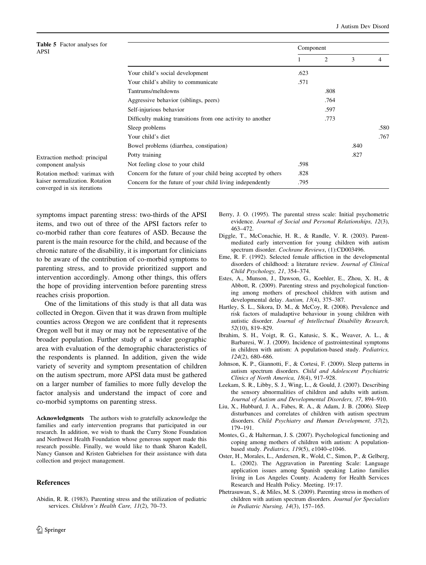<span id="page-7-0"></span>

|                                                                                                                                                                                                           |                                                               | Component |      |      |      |
|-----------------------------------------------------------------------------------------------------------------------------------------------------------------------------------------------------------|---------------------------------------------------------------|-----------|------|------|------|
| <b>Table 5</b> Factor analyses for<br><b>APSI</b><br>Extraction method: principal<br>component analysis<br>Rotation method: varimax with<br>kaiser normalization. Rotation<br>converged in six iterations |                                                               |           | 2    | 3    | 4    |
|                                                                                                                                                                                                           | Your child's social development                               | .623      |      |      |      |
|                                                                                                                                                                                                           | Your child's ability to communicate                           | .571      |      |      |      |
|                                                                                                                                                                                                           | Tantrums/meltdowns                                            |           | .808 |      |      |
|                                                                                                                                                                                                           | Aggressive behavior (siblings, peers)                         |           | .764 |      |      |
|                                                                                                                                                                                                           | Self-injurious behavior                                       |           | .597 |      |      |
|                                                                                                                                                                                                           | Difficulty making transitions from one activity to another    |           | .773 |      |      |
|                                                                                                                                                                                                           | Sleep problems                                                |           |      |      | .580 |
|                                                                                                                                                                                                           | Your child's diet                                             |           |      |      | .767 |
|                                                                                                                                                                                                           | Bowel problems (diarrhea, constipation)                       |           |      | .840 |      |
|                                                                                                                                                                                                           | Potty training                                                |           |      | .827 |      |
|                                                                                                                                                                                                           | Not feeling close to your child                               | .598      |      |      |      |
|                                                                                                                                                                                                           | Concern for the future of your child being accepted by others | .828      |      |      |      |
|                                                                                                                                                                                                           | Concern for the future of your child living independently     | .795      |      |      |      |
|                                                                                                                                                                                                           |                                                               |           |      |      |      |

symptoms impact parenting stress: two-thirds of the APSI items, and two out of three of the APSI factors refer to co-morbid rather than core features of ASD. Because the parent is the main resource for the child, and because of the chronic nature of the disability, it is important for clinicians to be aware of the contribution of co-morbid symptoms to parenting stress, and to provide prioritized support and intervention accordingly. Among other things, this offers the hope of providing intervention before parenting stress reaches crisis proportion.

One of the limitations of this study is that all data was collected in Oregon. Given that it was drawn from multiple counties across Oregon we are confident that it represents Oregon well but it may or may not be representative of the broader population. Further study of a wider geographic area with evaluation of the demographic characteristics of the respondents is planned. In addition, given the wide variety of severity and symptom presentation of children on the autism spectrum, more APSI data must be gathered on a larger number of families to more fully develop the factor analysis and understand the impact of core and co-morbid symptoms on parenting stress.

Acknowledgments The authors wish to gratefully acknowledge the families and early intervention programs that participated in our research. In addition, we wish to thank the Curry Stone Foundation and Northwest Health Foundation whose generous support made this research possible. Finally, we would like to thank Sharon Kadell, Nancy Ganson and Kristen Gabrielsen for their assistance with data collection and project management.

# References

Abidin, R. R. (1983). Parenting stress and the utilization of pediatric services. Children's Health Care, 11(2), 70-73.

- Berry, J. O. (1995). The parental stress scale: Initial psychometric evidence. Journal of Social and Personal Relationships, 12(3), 463–472.
- Diggle, T., McConachie, H. R., & Randle, V. R. (2003). Parentmediated early intervention for young children with autism spectrum disorder. Cochrane Reviews, (1):CD003496.
- Eme, R. F. (1992). Selected female affliction in the developmental disorders of childhood: a literature review. Journal of Clinical Child Psychology, 21, 354–374.
- Estes, A., Munson, J., Dawson, G., Koehler, E., Zhou, X. H., & Abbott, R. (2009). Parenting stress and psychological functioning among mothers of preschool children with autism and developmental delay. Autism, 13(4), 375–387.
- Hartley, S. L., Sikora, D. M., & McCoy, R. (2008). Prevalence and risk factors of maladaptive behaviour in young children with autistic disorder. Journal of Intellectual Disability Research, 52(10), 819–829.
- Ibrahim, S. H., Voigt, R. G., Katusic, S. K., Weaver, A. L., & Barbaresi, W. J. (2009). Incidence of gastrointestinal symptoms in children with autism: A population-based study. Pediatrics, 124(2), 680–686.
- Johnson, K. P., Giannotti, F., & Cortesi, F. (2009). Sleep patterns in autism spectrum disorders. Child and Adolescent Psychiatric Clinics of North America, 18(4), 917–928.
- Leekam, S. R., Libby, S. J., Wing, L., & Gould, J. (2007). Describing the sensory abnormalities of children and adults with autism. Journal of Autism and Developmental Disorders, 37, 894–910.
- Liu, X., Hubbard, J. A., Fabes, R. A., & Adam, J. B. (2006). Sleep disturbances and correlates of children with autism spectrum disorders. Child Psychiatry and Human Development, 37(2), 179–191.
- Montes, G., & Halterman, J. S. (2007). Psychological functioning and coping among mothers of children with autism: A populationbased study. Pediatrics, 119(5), e1040–e1046.
- Oster, H., Morales, L., Andersen, R., Wold, C., Simon, P., & Gelberg, L. (2002). The Aggravation in Parenting Scale: Language application issues among Spanish speaking Latino families living in Los Angeles County. Academy for Health Services Research and Health Policy. Meeting. 19:17.
- Phetrasuwan, S., & Miles, M. S. (2009). Parenting stress in mothers of children with autism spectrum disorders. Journal for Specialists in Pediatric Nursing, 14(3), 157–165.